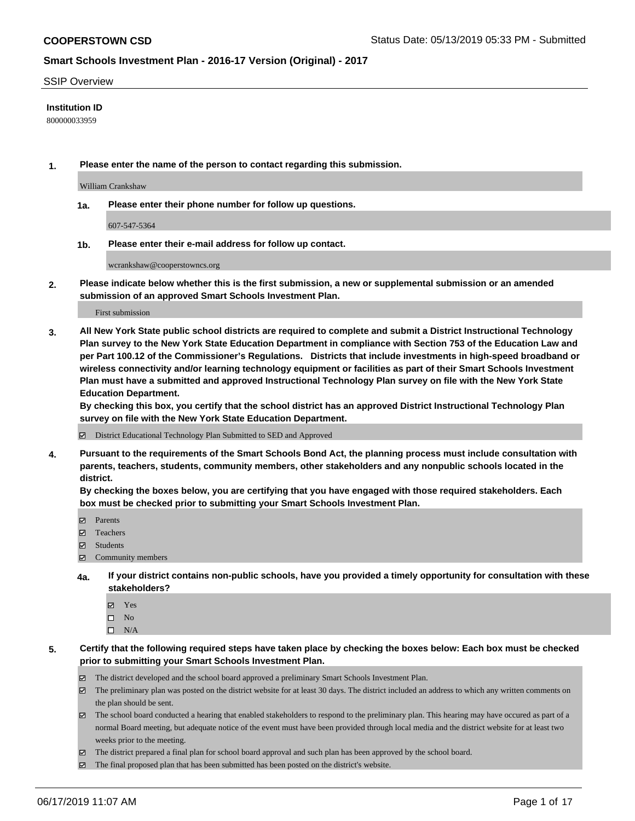#### SSIP Overview

### **Institution ID**

800000033959

**1. Please enter the name of the person to contact regarding this submission.**

William Crankshaw

**1a. Please enter their phone number for follow up questions.**

607-547-5364

**1b. Please enter their e-mail address for follow up contact.**

wcrankshaw@cooperstowncs.org

**2. Please indicate below whether this is the first submission, a new or supplemental submission or an amended submission of an approved Smart Schools Investment Plan.**

First submission

**3. All New York State public school districts are required to complete and submit a District Instructional Technology Plan survey to the New York State Education Department in compliance with Section 753 of the Education Law and per Part 100.12 of the Commissioner's Regulations. Districts that include investments in high-speed broadband or wireless connectivity and/or learning technology equipment or facilities as part of their Smart Schools Investment Plan must have a submitted and approved Instructional Technology Plan survey on file with the New York State Education Department.** 

**By checking this box, you certify that the school district has an approved District Instructional Technology Plan survey on file with the New York State Education Department.**

District Educational Technology Plan Submitted to SED and Approved

**4. Pursuant to the requirements of the Smart Schools Bond Act, the planning process must include consultation with parents, teachers, students, community members, other stakeholders and any nonpublic schools located in the district.** 

**By checking the boxes below, you are certifying that you have engaged with those required stakeholders. Each box must be checked prior to submitting your Smart Schools Investment Plan.**

- Parents
- Teachers
- Students
- Community members
- **4a. If your district contains non-public schools, have you provided a timely opportunity for consultation with these stakeholders?**
	- Yes
	- $\square$  No
	- $\square$  N/A
- **5. Certify that the following required steps have taken place by checking the boxes below: Each box must be checked prior to submitting your Smart Schools Investment Plan.**
	- The district developed and the school board approved a preliminary Smart Schools Investment Plan.
	- $\boxtimes$  The preliminary plan was posted on the district website for at least 30 days. The district included an address to which any written comments on the plan should be sent.
	- $\boxtimes$  The school board conducted a hearing that enabled stakeholders to respond to the preliminary plan. This hearing may have occured as part of a normal Board meeting, but adequate notice of the event must have been provided through local media and the district website for at least two weeks prior to the meeting.
	- The district prepared a final plan for school board approval and such plan has been approved by the school board.
	- $\boxtimes$  The final proposed plan that has been submitted has been posted on the district's website.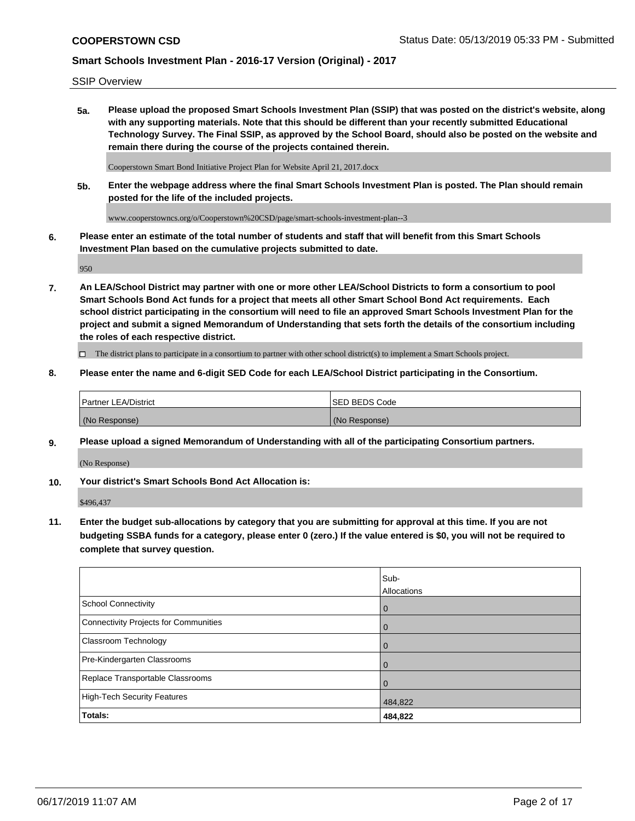SSIP Overview

**5a. Please upload the proposed Smart Schools Investment Plan (SSIP) that was posted on the district's website, along with any supporting materials. Note that this should be different than your recently submitted Educational Technology Survey. The Final SSIP, as approved by the School Board, should also be posted on the website and remain there during the course of the projects contained therein.**

Cooperstown Smart Bond Initiative Project Plan for Website April 21, 2017.docx

**5b. Enter the webpage address where the final Smart Schools Investment Plan is posted. The Plan should remain posted for the life of the included projects.**

www.cooperstowncs.org/o/Cooperstown%20CSD/page/smart-schools-investment-plan--3

**6. Please enter an estimate of the total number of students and staff that will benefit from this Smart Schools Investment Plan based on the cumulative projects submitted to date.**

950

**7. An LEA/School District may partner with one or more other LEA/School Districts to form a consortium to pool Smart Schools Bond Act funds for a project that meets all other Smart School Bond Act requirements. Each school district participating in the consortium will need to file an approved Smart Schools Investment Plan for the project and submit a signed Memorandum of Understanding that sets forth the details of the consortium including the roles of each respective district.**

 $\Box$  The district plans to participate in a consortium to partner with other school district(s) to implement a Smart Schools project.

### **8. Please enter the name and 6-digit SED Code for each LEA/School District participating in the Consortium.**

| <b>Partner LEA/District</b> | <b>ISED BEDS Code</b> |
|-----------------------------|-----------------------|
| (No Response)               | (No Response)         |

#### **9. Please upload a signed Memorandum of Understanding with all of the participating Consortium partners.**

(No Response)

**10. Your district's Smart Schools Bond Act Allocation is:**

\$496,437

**11. Enter the budget sub-allocations by category that you are submitting for approval at this time. If you are not budgeting SSBA funds for a category, please enter 0 (zero.) If the value entered is \$0, you will not be required to complete that survey question.**

|                                       | Sub-<br>Allocations |
|---------------------------------------|---------------------|
| <b>School Connectivity</b>            | $\overline{0}$      |
| Connectivity Projects for Communities | $\overline{0}$      |
| <b>Classroom Technology</b>           | 0                   |
| Pre-Kindergarten Classrooms           | $\Omega$            |
| Replace Transportable Classrooms      | $\Omega$            |
| High-Tech Security Features           | 484,822             |
| Totals:                               | 484,822             |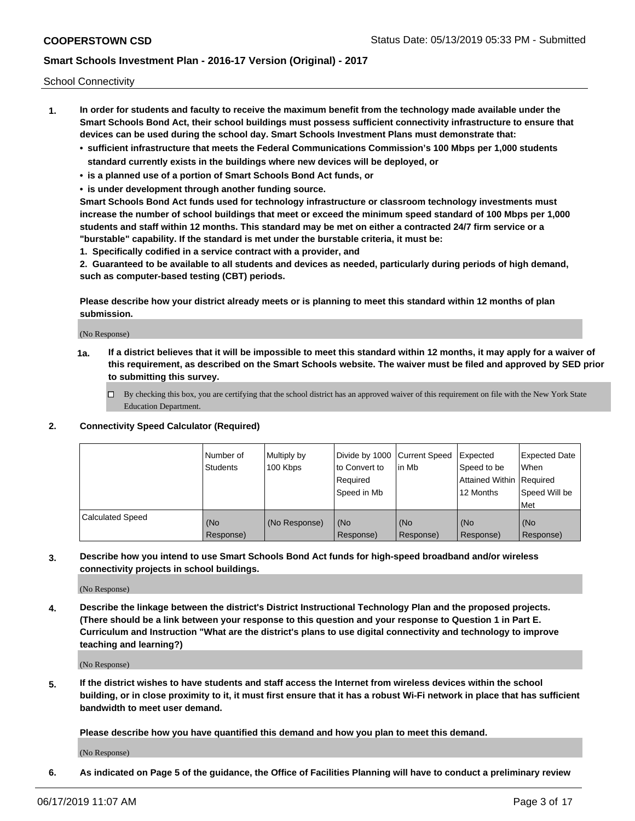School Connectivity

- **1. In order for students and faculty to receive the maximum benefit from the technology made available under the Smart Schools Bond Act, their school buildings must possess sufficient connectivity infrastructure to ensure that devices can be used during the school day. Smart Schools Investment Plans must demonstrate that:**
	- **• sufficient infrastructure that meets the Federal Communications Commission's 100 Mbps per 1,000 students standard currently exists in the buildings where new devices will be deployed, or**
	- **• is a planned use of a portion of Smart Schools Bond Act funds, or**
	- **• is under development through another funding source.**

**Smart Schools Bond Act funds used for technology infrastructure or classroom technology investments must increase the number of school buildings that meet or exceed the minimum speed standard of 100 Mbps per 1,000 students and staff within 12 months. This standard may be met on either a contracted 24/7 firm service or a "burstable" capability. If the standard is met under the burstable criteria, it must be:**

**1. Specifically codified in a service contract with a provider, and**

**2. Guaranteed to be available to all students and devices as needed, particularly during periods of high demand, such as computer-based testing (CBT) periods.**

**Please describe how your district already meets or is planning to meet this standard within 12 months of plan submission.**

(No Response)

**1a. If a district believes that it will be impossible to meet this standard within 12 months, it may apply for a waiver of this requirement, as described on the Smart Schools website. The waiver must be filed and approved by SED prior to submitting this survey.**

 $\Box$  By checking this box, you are certifying that the school district has an approved waiver of this requirement on file with the New York State Education Department.

#### **2. Connectivity Speed Calculator (Required)**

|                         | l Number of<br>Students | Multiply by<br>100 Kbps | Divide by 1000 Current Speed<br>to Convert to<br>Required<br>l Speed in Mb | lin Mb           | Expected<br>Speed to be<br>Attained Within   Required<br>12 Months | <b>Expected Date</b><br>When<br>Speed Will be<br>Met |
|-------------------------|-------------------------|-------------------------|----------------------------------------------------------------------------|------------------|--------------------------------------------------------------------|------------------------------------------------------|
| <b>Calculated Speed</b> | (No<br>Response)        | (No Response)           | (No<br>Response)                                                           | (No<br>Response) | (No<br>Response)                                                   | (No<br>Response)                                     |

**3. Describe how you intend to use Smart Schools Bond Act funds for high-speed broadband and/or wireless connectivity projects in school buildings.**

(No Response)

**4. Describe the linkage between the district's District Instructional Technology Plan and the proposed projects. (There should be a link between your response to this question and your response to Question 1 in Part E. Curriculum and Instruction "What are the district's plans to use digital connectivity and technology to improve teaching and learning?)**

(No Response)

**5. If the district wishes to have students and staff access the Internet from wireless devices within the school building, or in close proximity to it, it must first ensure that it has a robust Wi-Fi network in place that has sufficient bandwidth to meet user demand.**

**Please describe how you have quantified this demand and how you plan to meet this demand.**

(No Response)

**6. As indicated on Page 5 of the guidance, the Office of Facilities Planning will have to conduct a preliminary review**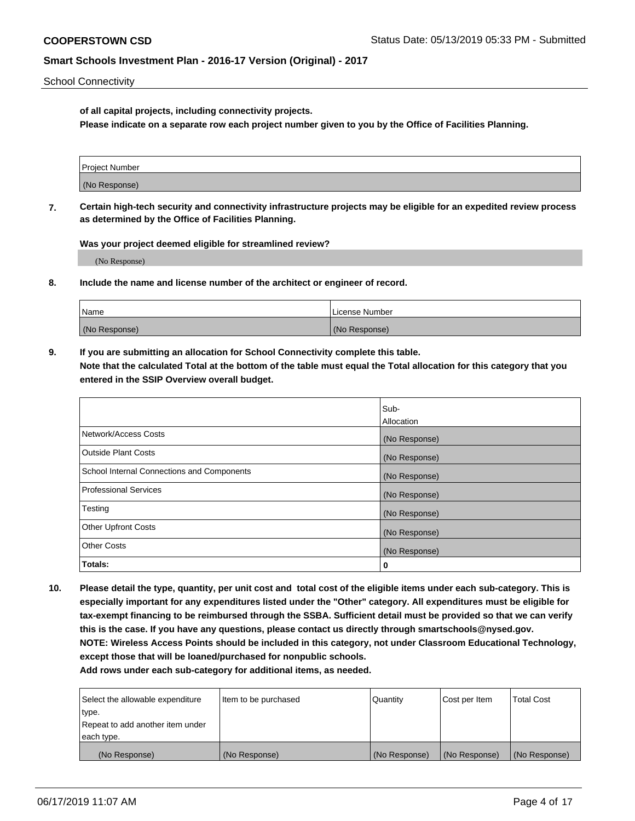School Connectivity

**of all capital projects, including connectivity projects.**

**Please indicate on a separate row each project number given to you by the Office of Facilities Planning.**

| Project Number |  |
|----------------|--|
|                |  |
|                |  |
| (No Response)  |  |
|                |  |

**7. Certain high-tech security and connectivity infrastructure projects may be eligible for an expedited review process as determined by the Office of Facilities Planning.**

**Was your project deemed eligible for streamlined review?**

(No Response)

**8. Include the name and license number of the architect or engineer of record.**

| Name          | License Number |
|---------------|----------------|
| (No Response) | (No Response)  |

**9. If you are submitting an allocation for School Connectivity complete this table. Note that the calculated Total at the bottom of the table must equal the Total allocation for this category that you entered in the SSIP Overview overall budget.** 

|                                            | Sub-          |
|--------------------------------------------|---------------|
|                                            | Allocation    |
| Network/Access Costs                       | (No Response) |
| Outside Plant Costs                        | (No Response) |
| School Internal Connections and Components | (No Response) |
| <b>Professional Services</b>               | (No Response) |
| Testing                                    | (No Response) |
| <b>Other Upfront Costs</b>                 | (No Response) |
| <b>Other Costs</b>                         | (No Response) |
| Totals:                                    | 0             |

**10. Please detail the type, quantity, per unit cost and total cost of the eligible items under each sub-category. This is especially important for any expenditures listed under the "Other" category. All expenditures must be eligible for tax-exempt financing to be reimbursed through the SSBA. Sufficient detail must be provided so that we can verify this is the case. If you have any questions, please contact us directly through smartschools@nysed.gov. NOTE: Wireless Access Points should be included in this category, not under Classroom Educational Technology, except those that will be loaned/purchased for nonpublic schools.**

| Select the allowable expenditure | Item to be purchased | Quantity      | <b>Cost per Item</b> | <b>Total Cost</b> |
|----------------------------------|----------------------|---------------|----------------------|-------------------|
| type.                            |                      |               |                      |                   |
| Repeat to add another item under |                      |               |                      |                   |
| each type.                       |                      |               |                      |                   |
| (No Response)                    | (No Response)        | (No Response) | (No Response)        | (No Response)     |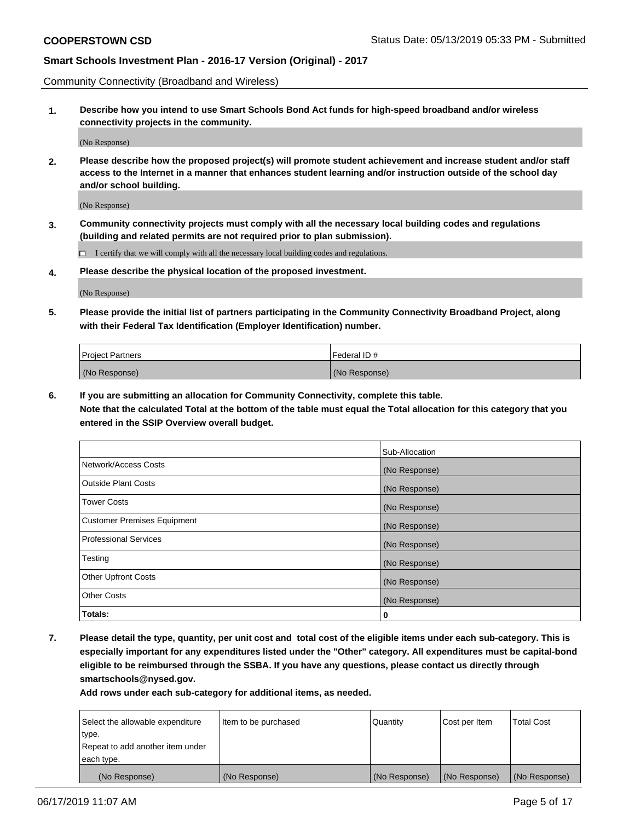Community Connectivity (Broadband and Wireless)

**1. Describe how you intend to use Smart Schools Bond Act funds for high-speed broadband and/or wireless connectivity projects in the community.**

(No Response)

**2. Please describe how the proposed project(s) will promote student achievement and increase student and/or staff access to the Internet in a manner that enhances student learning and/or instruction outside of the school day and/or school building.**

(No Response)

**3. Community connectivity projects must comply with all the necessary local building codes and regulations (building and related permits are not required prior to plan submission).**

 $\Box$  I certify that we will comply with all the necessary local building codes and regulations.

**4. Please describe the physical location of the proposed investment.**

(No Response)

**5. Please provide the initial list of partners participating in the Community Connectivity Broadband Project, along with their Federal Tax Identification (Employer Identification) number.**

| <b>Project Partners</b> | Federal ID#   |
|-------------------------|---------------|
| (No Response)           | (No Response) |

**6. If you are submitting an allocation for Community Connectivity, complete this table.**

**Note that the calculated Total at the bottom of the table must equal the Total allocation for this category that you entered in the SSIP Overview overall budget.**

|                                    | Sub-Allocation |
|------------------------------------|----------------|
| Network/Access Costs               | (No Response)  |
| <b>Outside Plant Costs</b>         | (No Response)  |
| <b>Tower Costs</b>                 | (No Response)  |
| <b>Customer Premises Equipment</b> | (No Response)  |
| <b>Professional Services</b>       | (No Response)  |
| Testing                            | (No Response)  |
| <b>Other Upfront Costs</b>         | (No Response)  |
| <b>Other Costs</b>                 | (No Response)  |
| Totals:                            | 0              |

**7. Please detail the type, quantity, per unit cost and total cost of the eligible items under each sub-category. This is especially important for any expenditures listed under the "Other" category. All expenditures must be capital-bond eligible to be reimbursed through the SSBA. If you have any questions, please contact us directly through smartschools@nysed.gov.**

| Select the allowable expenditure | Item to be purchased | Quantity      | Cost per Item | <b>Total Cost</b> |
|----------------------------------|----------------------|---------------|---------------|-------------------|
| type.                            |                      |               |               |                   |
| Repeat to add another item under |                      |               |               |                   |
| each type.                       |                      |               |               |                   |
| (No Response)                    | (No Response)        | (No Response) | (No Response) | (No Response)     |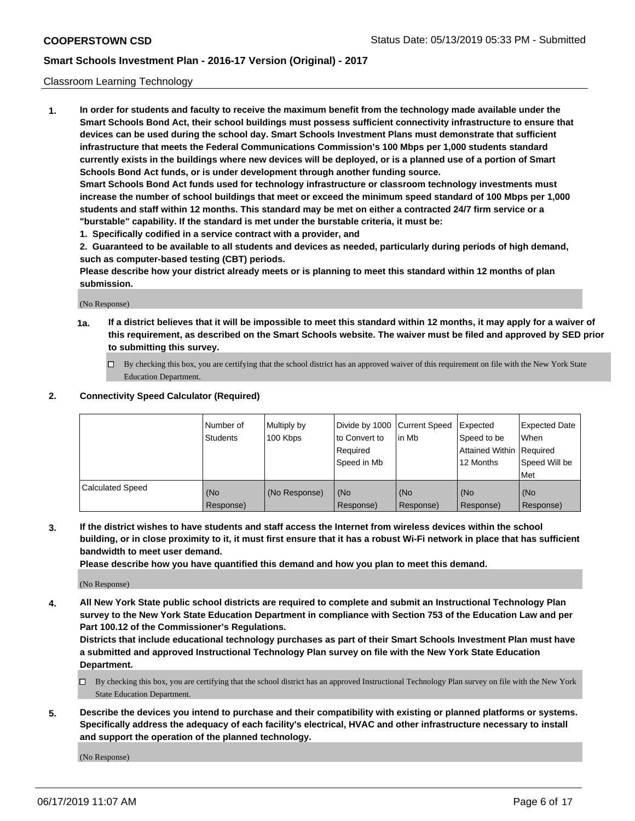### Classroom Learning Technology

**1. In order for students and faculty to receive the maximum benefit from the technology made available under the Smart Schools Bond Act, their school buildings must possess sufficient connectivity infrastructure to ensure that devices can be used during the school day. Smart Schools Investment Plans must demonstrate that sufficient infrastructure that meets the Federal Communications Commission's 100 Mbps per 1,000 students standard currently exists in the buildings where new devices will be deployed, or is a planned use of a portion of Smart Schools Bond Act funds, or is under development through another funding source. Smart Schools Bond Act funds used for technology infrastructure or classroom technology investments must increase the number of school buildings that meet or exceed the minimum speed standard of 100 Mbps per 1,000 students and staff within 12 months. This standard may be met on either a contracted 24/7 firm service or a**

**"burstable" capability. If the standard is met under the burstable criteria, it must be:**

**1. Specifically codified in a service contract with a provider, and**

**2. Guaranteed to be available to all students and devices as needed, particularly during periods of high demand, such as computer-based testing (CBT) periods.**

**Please describe how your district already meets or is planning to meet this standard within 12 months of plan submission.**

(No Response)

- **1a. If a district believes that it will be impossible to meet this standard within 12 months, it may apply for a waiver of this requirement, as described on the Smart Schools website. The waiver must be filed and approved by SED prior to submitting this survey.**
	- By checking this box, you are certifying that the school district has an approved waiver of this requirement on file with the New York State Education Department.

### **2. Connectivity Speed Calculator (Required)**

|                         | l Number of<br>Students | Multiply by<br>100 Kbps | to Convert to<br>Required<br>Speed in Mb | Divide by 1000 Current Speed Expected<br>l in Mb | Speed to be<br>Attained Within Required<br>12 Months | <b>Expected Date</b><br>When<br>Speed Will be<br>Met |
|-------------------------|-------------------------|-------------------------|------------------------------------------|--------------------------------------------------|------------------------------------------------------|------------------------------------------------------|
| <b>Calculated Speed</b> | (No<br>Response)        | (No Response)           | (No<br>Response)                         | (No<br>Response)                                 | (No<br>Response)                                     | (No<br>Response)                                     |

**3. If the district wishes to have students and staff access the Internet from wireless devices within the school building, or in close proximity to it, it must first ensure that it has a robust Wi-Fi network in place that has sufficient bandwidth to meet user demand.**

**Please describe how you have quantified this demand and how you plan to meet this demand.**

(No Response)

**4. All New York State public school districts are required to complete and submit an Instructional Technology Plan survey to the New York State Education Department in compliance with Section 753 of the Education Law and per Part 100.12 of the Commissioner's Regulations.**

**Districts that include educational technology purchases as part of their Smart Schools Investment Plan must have a submitted and approved Instructional Technology Plan survey on file with the New York State Education Department.**

- $\Box$  By checking this box, you are certifying that the school district has an approved Instructional Technology Plan survey on file with the New York State Education Department.
- **5. Describe the devices you intend to purchase and their compatibility with existing or planned platforms or systems. Specifically address the adequacy of each facility's electrical, HVAC and other infrastructure necessary to install and support the operation of the planned technology.**

(No Response)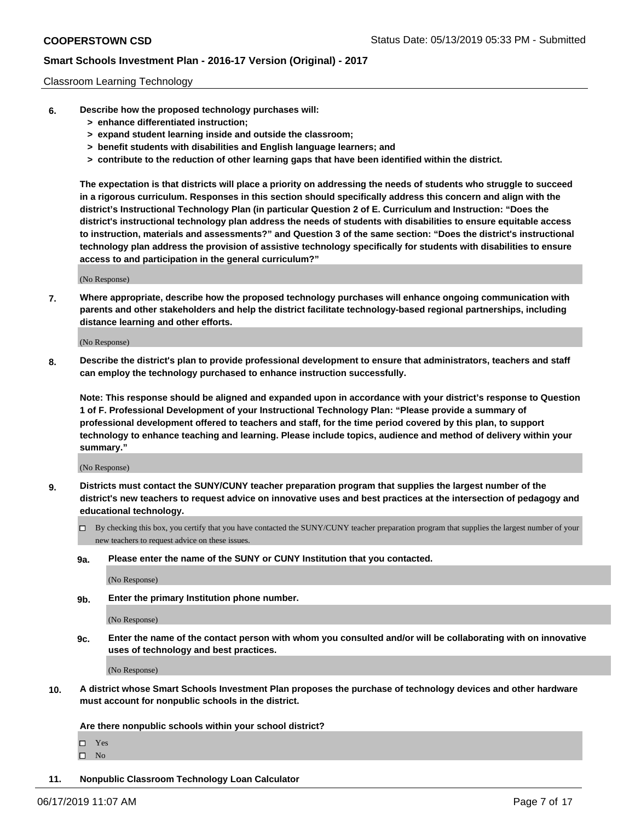### Classroom Learning Technology

- **6. Describe how the proposed technology purchases will:**
	- **> enhance differentiated instruction;**
	- **> expand student learning inside and outside the classroom;**
	- **> benefit students with disabilities and English language learners; and**
	- **> contribute to the reduction of other learning gaps that have been identified within the district.**

**The expectation is that districts will place a priority on addressing the needs of students who struggle to succeed in a rigorous curriculum. Responses in this section should specifically address this concern and align with the district's Instructional Technology Plan (in particular Question 2 of E. Curriculum and Instruction: "Does the district's instructional technology plan address the needs of students with disabilities to ensure equitable access to instruction, materials and assessments?" and Question 3 of the same section: "Does the district's instructional technology plan address the provision of assistive technology specifically for students with disabilities to ensure access to and participation in the general curriculum?"**

(No Response)

**7. Where appropriate, describe how the proposed technology purchases will enhance ongoing communication with parents and other stakeholders and help the district facilitate technology-based regional partnerships, including distance learning and other efforts.**

(No Response)

**8. Describe the district's plan to provide professional development to ensure that administrators, teachers and staff can employ the technology purchased to enhance instruction successfully.**

**Note: This response should be aligned and expanded upon in accordance with your district's response to Question 1 of F. Professional Development of your Instructional Technology Plan: "Please provide a summary of professional development offered to teachers and staff, for the time period covered by this plan, to support technology to enhance teaching and learning. Please include topics, audience and method of delivery within your summary."**

(No Response)

- **9. Districts must contact the SUNY/CUNY teacher preparation program that supplies the largest number of the district's new teachers to request advice on innovative uses and best practices at the intersection of pedagogy and educational technology.**
	- By checking this box, you certify that you have contacted the SUNY/CUNY teacher preparation program that supplies the largest number of your new teachers to request advice on these issues.
	- **9a. Please enter the name of the SUNY or CUNY Institution that you contacted.**

(No Response)

**9b. Enter the primary Institution phone number.**

(No Response)

**9c. Enter the name of the contact person with whom you consulted and/or will be collaborating with on innovative uses of technology and best practices.**

(No Response)

**10. A district whose Smart Schools Investment Plan proposes the purchase of technology devices and other hardware must account for nonpublic schools in the district.**

**Are there nonpublic schools within your school district?**

Yes

 $\square$  No

**11. Nonpublic Classroom Technology Loan Calculator**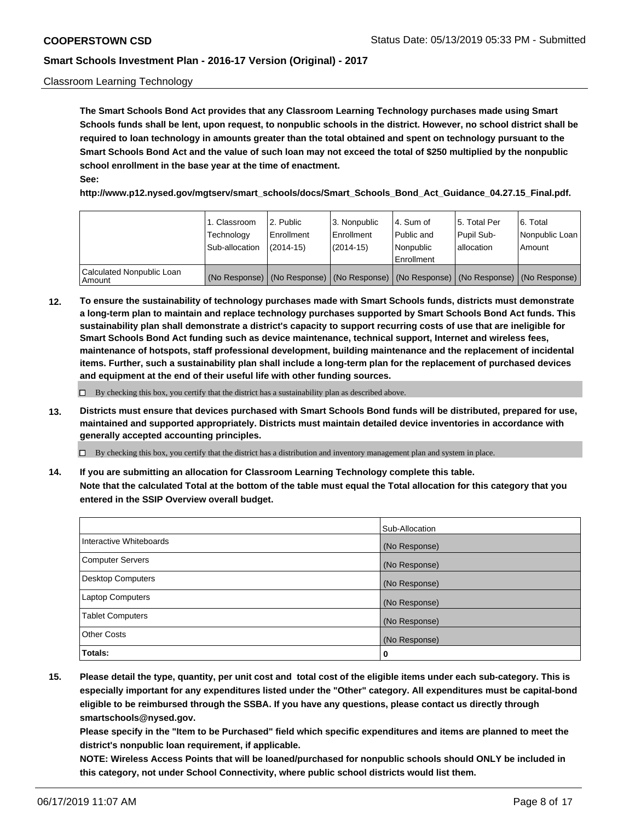### Classroom Learning Technology

**The Smart Schools Bond Act provides that any Classroom Learning Technology purchases made using Smart Schools funds shall be lent, upon request, to nonpublic schools in the district. However, no school district shall be required to loan technology in amounts greater than the total obtained and spent on technology pursuant to the Smart Schools Bond Act and the value of such loan may not exceed the total of \$250 multiplied by the nonpublic school enrollment in the base year at the time of enactment. See:**

**http://www.p12.nysed.gov/mgtserv/smart\_schools/docs/Smart\_Schools\_Bond\_Act\_Guidance\_04.27.15\_Final.pdf.**

|                                       | 1. Classroom<br>Technology<br>Sub-allocation | 2. Public<br>l Enrollment<br>$(2014 - 15)$ | l 3. Nonpublic<br>l Enrollment<br>$(2014 - 15)$ | l 4. Sum of<br>Public and<br>l Nonpublic<br>Enrollment                                        | 15. Total Per<br>Pupil Sub-<br>l allocation | l 6. Total<br>Nonpublic Loan<br>Amount |
|---------------------------------------|----------------------------------------------|--------------------------------------------|-------------------------------------------------|-----------------------------------------------------------------------------------------------|---------------------------------------------|----------------------------------------|
| Calculated Nonpublic Loan<br>l Amount |                                              |                                            |                                                 | (No Response)   (No Response)   (No Response)   (No Response)   (No Response)   (No Response) |                                             |                                        |

**12. To ensure the sustainability of technology purchases made with Smart Schools funds, districts must demonstrate a long-term plan to maintain and replace technology purchases supported by Smart Schools Bond Act funds. This sustainability plan shall demonstrate a district's capacity to support recurring costs of use that are ineligible for Smart Schools Bond Act funding such as device maintenance, technical support, Internet and wireless fees, maintenance of hotspots, staff professional development, building maintenance and the replacement of incidental items. Further, such a sustainability plan shall include a long-term plan for the replacement of purchased devices and equipment at the end of their useful life with other funding sources.**

 $\Box$  By checking this box, you certify that the district has a sustainability plan as described above.

**13. Districts must ensure that devices purchased with Smart Schools Bond funds will be distributed, prepared for use, maintained and supported appropriately. Districts must maintain detailed device inventories in accordance with generally accepted accounting principles.**

By checking this box, you certify that the district has a distribution and inventory management plan and system in place.

**14. If you are submitting an allocation for Classroom Learning Technology complete this table. Note that the calculated Total at the bottom of the table must equal the Total allocation for this category that you entered in the SSIP Overview overall budget.**

|                         | Sub-Allocation |
|-------------------------|----------------|
| Interactive Whiteboards | (No Response)  |
| Computer Servers        | (No Response)  |
| Desktop Computers       | (No Response)  |
| <b>Laptop Computers</b> | (No Response)  |
| <b>Tablet Computers</b> | (No Response)  |
| <b>Other Costs</b>      | (No Response)  |
| Totals:                 | 0              |

**15. Please detail the type, quantity, per unit cost and total cost of the eligible items under each sub-category. This is especially important for any expenditures listed under the "Other" category. All expenditures must be capital-bond eligible to be reimbursed through the SSBA. If you have any questions, please contact us directly through smartschools@nysed.gov.**

**Please specify in the "Item to be Purchased" field which specific expenditures and items are planned to meet the district's nonpublic loan requirement, if applicable.**

**NOTE: Wireless Access Points that will be loaned/purchased for nonpublic schools should ONLY be included in this category, not under School Connectivity, where public school districts would list them.**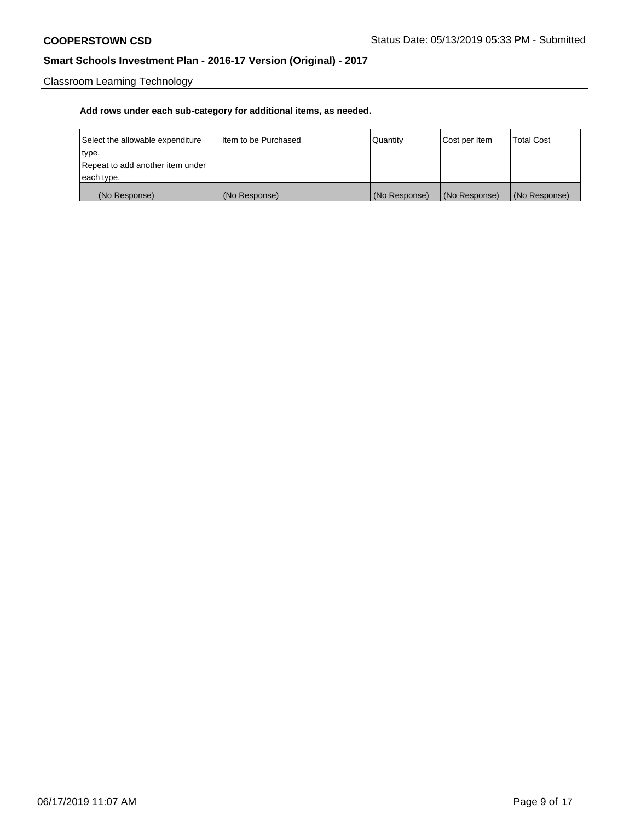Classroom Learning Technology

| Select the allowable expenditure | I Item to be Purchased | Quantity      | Cost per Item | <b>Total Cost</b> |
|----------------------------------|------------------------|---------------|---------------|-------------------|
| type.                            |                        |               |               |                   |
| Repeat to add another item under |                        |               |               |                   |
| each type.                       |                        |               |               |                   |
| (No Response)                    | (No Response)          | (No Response) | (No Response) | (No Response)     |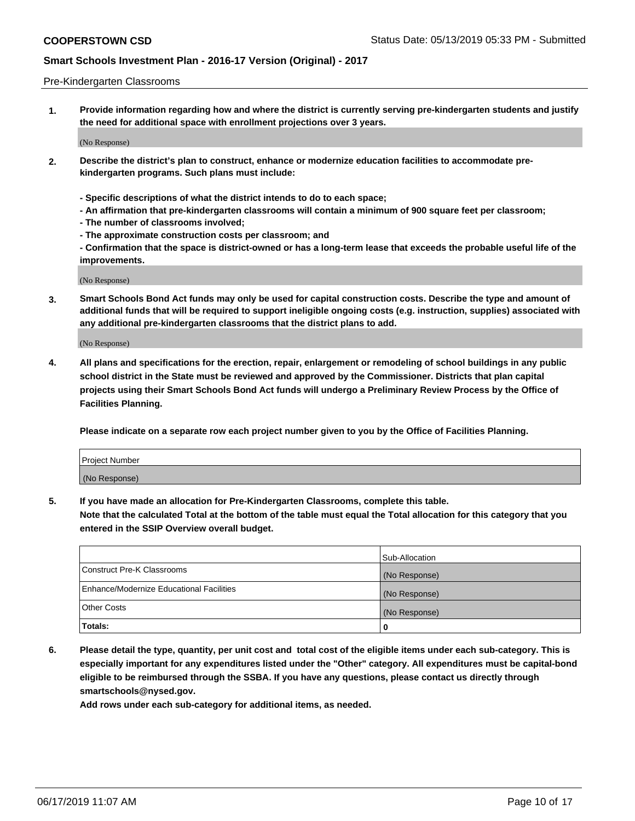### Pre-Kindergarten Classrooms

**1. Provide information regarding how and where the district is currently serving pre-kindergarten students and justify the need for additional space with enrollment projections over 3 years.**

(No Response)

- **2. Describe the district's plan to construct, enhance or modernize education facilities to accommodate prekindergarten programs. Such plans must include:**
	- **Specific descriptions of what the district intends to do to each space;**
	- **An affirmation that pre-kindergarten classrooms will contain a minimum of 900 square feet per classroom;**
	- **The number of classrooms involved;**
	- **The approximate construction costs per classroom; and**
	- **Confirmation that the space is district-owned or has a long-term lease that exceeds the probable useful life of the improvements.**

(No Response)

**3. Smart Schools Bond Act funds may only be used for capital construction costs. Describe the type and amount of additional funds that will be required to support ineligible ongoing costs (e.g. instruction, supplies) associated with any additional pre-kindergarten classrooms that the district plans to add.**

(No Response)

**4. All plans and specifications for the erection, repair, enlargement or remodeling of school buildings in any public school district in the State must be reviewed and approved by the Commissioner. Districts that plan capital projects using their Smart Schools Bond Act funds will undergo a Preliminary Review Process by the Office of Facilities Planning.**

**Please indicate on a separate row each project number given to you by the Office of Facilities Planning.**

| Project Number |  |
|----------------|--|
| (No Response)  |  |
|                |  |

**5. If you have made an allocation for Pre-Kindergarten Classrooms, complete this table.**

**Note that the calculated Total at the bottom of the table must equal the Total allocation for this category that you entered in the SSIP Overview overall budget.**

|                                          | Sub-Allocation |
|------------------------------------------|----------------|
| Construct Pre-K Classrooms               | (No Response)  |
| Enhance/Modernize Educational Facilities | (No Response)  |
| <b>Other Costs</b>                       | (No Response)  |
| Totals:                                  | 0              |

**6. Please detail the type, quantity, per unit cost and total cost of the eligible items under each sub-category. This is especially important for any expenditures listed under the "Other" category. All expenditures must be capital-bond eligible to be reimbursed through the SSBA. If you have any questions, please contact us directly through smartschools@nysed.gov.**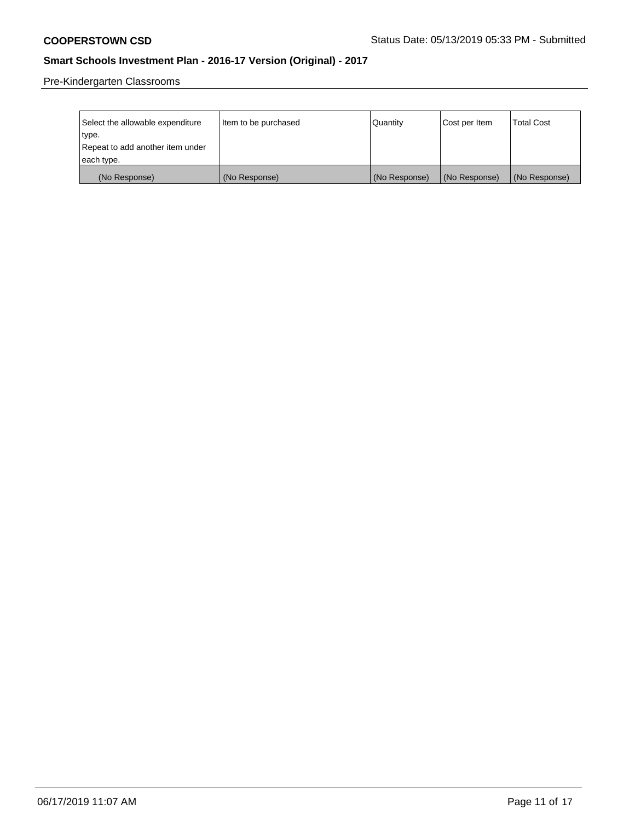Pre-Kindergarten Classrooms

| Select the allowable expenditure<br>type. | Item to be purchased | l Quantitv    | Cost per Item | <b>Total Cost</b> |
|-------------------------------------------|----------------------|---------------|---------------|-------------------|
| Repeat to add another item under          |                      |               |               |                   |
| each type.                                |                      |               |               |                   |
| (No Response)                             | (No Response)        | (No Response) | (No Response) | (No Response)     |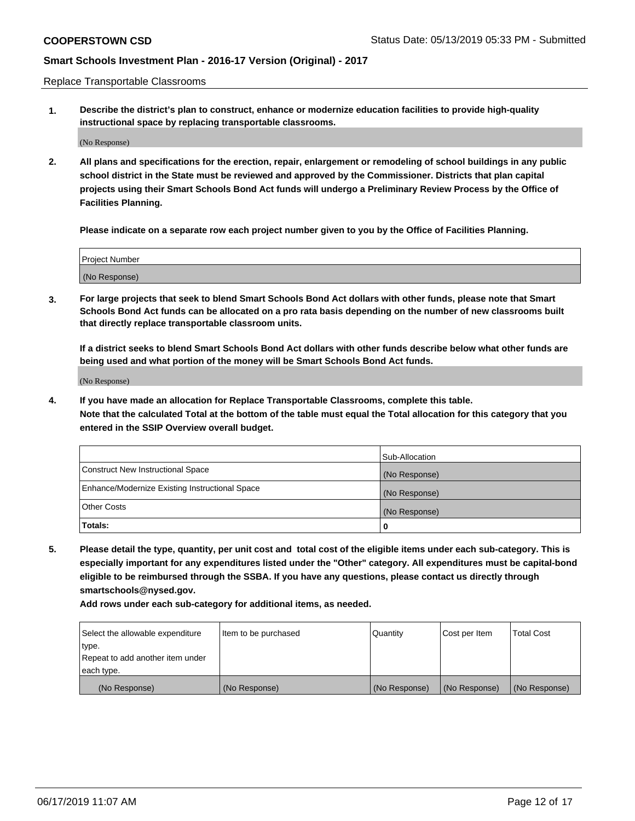Replace Transportable Classrooms

**1. Describe the district's plan to construct, enhance or modernize education facilities to provide high-quality instructional space by replacing transportable classrooms.**

(No Response)

**2. All plans and specifications for the erection, repair, enlargement or remodeling of school buildings in any public school district in the State must be reviewed and approved by the Commissioner. Districts that plan capital projects using their Smart Schools Bond Act funds will undergo a Preliminary Review Process by the Office of Facilities Planning.**

**Please indicate on a separate row each project number given to you by the Office of Facilities Planning.**

| Project Number |  |
|----------------|--|
|                |  |
|                |  |
|                |  |
|                |  |
| (No Response)  |  |
|                |  |
|                |  |
|                |  |

**3. For large projects that seek to blend Smart Schools Bond Act dollars with other funds, please note that Smart Schools Bond Act funds can be allocated on a pro rata basis depending on the number of new classrooms built that directly replace transportable classroom units.**

**If a district seeks to blend Smart Schools Bond Act dollars with other funds describe below what other funds are being used and what portion of the money will be Smart Schools Bond Act funds.**

(No Response)

**4. If you have made an allocation for Replace Transportable Classrooms, complete this table. Note that the calculated Total at the bottom of the table must equal the Total allocation for this category that you entered in the SSIP Overview overall budget.**

|                                                | Sub-Allocation |
|------------------------------------------------|----------------|
| Construct New Instructional Space              | (No Response)  |
| Enhance/Modernize Existing Instructional Space | (No Response)  |
| <b>Other Costs</b>                             | (No Response)  |
| Totals:                                        | 0              |

**5. Please detail the type, quantity, per unit cost and total cost of the eligible items under each sub-category. This is especially important for any expenditures listed under the "Other" category. All expenditures must be capital-bond eligible to be reimbursed through the SSBA. If you have any questions, please contact us directly through smartschools@nysed.gov.**

| Select the allowable expenditure | Item to be purchased | l Quantitv    | Cost per Item | <b>Total Cost</b> |
|----------------------------------|----------------------|---------------|---------------|-------------------|
| type.                            |                      |               |               |                   |
| Repeat to add another item under |                      |               |               |                   |
| each type.                       |                      |               |               |                   |
| (No Response)                    | (No Response)        | (No Response) | (No Response) | (No Response)     |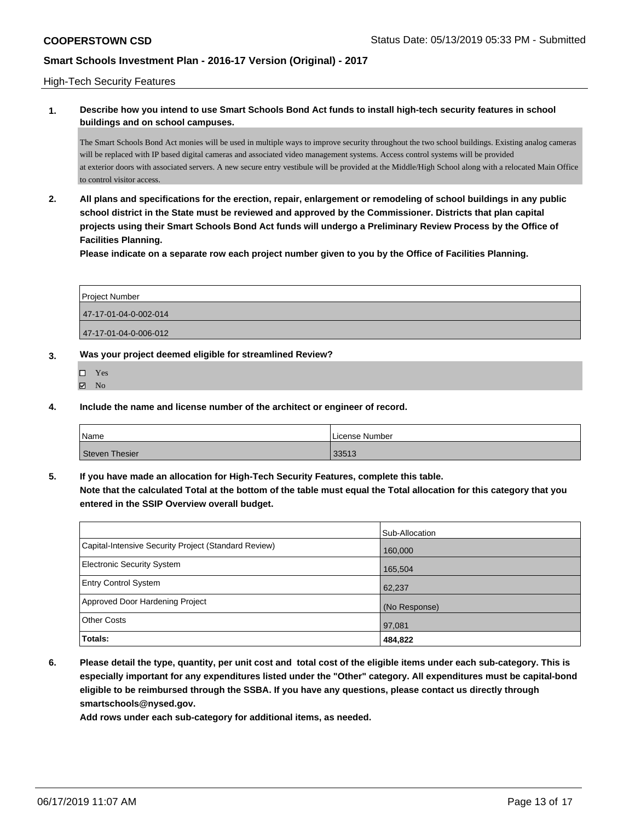### High-Tech Security Features

### **1. Describe how you intend to use Smart Schools Bond Act funds to install high-tech security features in school buildings and on school campuses.**

The Smart Schools Bond Act monies will be used in multiple ways to improve security throughout the two school buildings. Existing analog cameras will be replaced with IP based digital cameras and associated video management systems. Access control systems will be provided at exterior doors with associated servers. A new secure entry vestibule will be provided at the Middle/High School along with a relocated Main Office to control visitor access.

**2. All plans and specifications for the erection, repair, enlargement or remodeling of school buildings in any public school district in the State must be reviewed and approved by the Commissioner. Districts that plan capital projects using their Smart Schools Bond Act funds will undergo a Preliminary Review Process by the Office of Facilities Planning.** 

**Please indicate on a separate row each project number given to you by the Office of Facilities Planning.**

| Project Number        |
|-----------------------|
| 47-17-01-04-0-002-014 |
| 47-17-01-04-0-006-012 |

### **3. Was your project deemed eligible for streamlined Review?**

- Yes  $\boxtimes$  No
- **4. Include the name and license number of the architect or engineer of record.**

| Name                  | License Number |
|-----------------------|----------------|
| <b>Steven Thesier</b> | 33513          |

**5. If you have made an allocation for High-Tech Security Features, complete this table.**

**Note that the calculated Total at the bottom of the table must equal the Total allocation for this category that you entered in the SSIP Overview overall budget.**

|                                                      | Sub-Allocation |
|------------------------------------------------------|----------------|
| Capital-Intensive Security Project (Standard Review) | 160,000        |
| Electronic Security System                           | 165,504        |
| <b>Entry Control System</b>                          | 62,237         |
| Approved Door Hardening Project                      | (No Response)  |
| <b>Other Costs</b>                                   | 97,081         |
| <b>Totals:</b>                                       | 484,822        |

**6. Please detail the type, quantity, per unit cost and total cost of the eligible items under each sub-category. This is especially important for any expenditures listed under the "Other" category. All expenditures must be capital-bond eligible to be reimbursed through the SSBA. If you have any questions, please contact us directly through smartschools@nysed.gov.**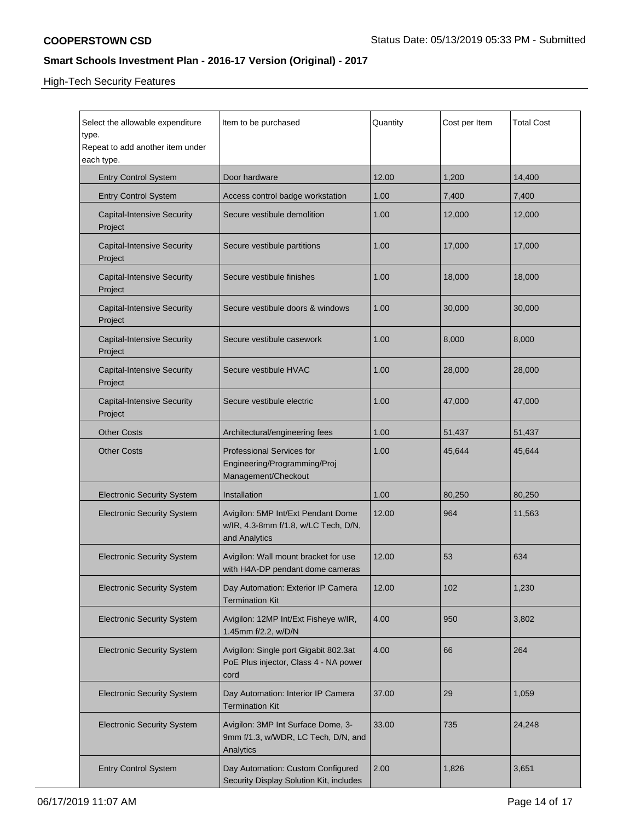High-Tech Security Features

| Select the allowable expenditure<br>type.<br>Repeat to add another item under<br>each type. | Item to be purchased                                                                        | Quantity | Cost per Item | <b>Total Cost</b> |
|---------------------------------------------------------------------------------------------|---------------------------------------------------------------------------------------------|----------|---------------|-------------------|
| <b>Entry Control System</b>                                                                 | Door hardware                                                                               | 12.00    | 1,200         | 14,400            |
| <b>Entry Control System</b>                                                                 | Access control badge workstation                                                            | 1.00     | 7,400         | 7,400             |
| <b>Capital-Intensive Security</b><br>Project                                                | Secure vestibule demolition                                                                 | 1.00     | 12,000        | 12,000            |
| <b>Capital-Intensive Security</b><br>Project                                                | Secure vestibule partitions                                                                 | 1.00     | 17,000        | 17,000            |
| <b>Capital-Intensive Security</b><br>Project                                                | Secure vestibule finishes                                                                   | 1.00     | 18,000        | 18,000            |
| <b>Capital-Intensive Security</b><br>Project                                                | Secure vestibule doors & windows                                                            | 1.00     | 30,000        | 30,000            |
| <b>Capital-Intensive Security</b><br>Project                                                | Secure vestibule casework                                                                   | 1.00     | 8,000         | 8,000             |
| <b>Capital-Intensive Security</b><br>Project                                                | Secure vestibule HVAC                                                                       | 1.00     | 28,000        | 28,000            |
| <b>Capital-Intensive Security</b><br>Project                                                | Secure vestibule electric                                                                   | 1.00     | 47,000        | 47,000            |
| <b>Other Costs</b>                                                                          | Architectural/engineering fees                                                              | 1.00     | 51,437        | 51,437            |
| <b>Other Costs</b>                                                                          | <b>Professional Services for</b><br>Engineering/Programming/Proj<br>Management/Checkout     | 1.00     | 45,644        | 45,644            |
| <b>Electronic Security System</b>                                                           | Installation                                                                                | 1.00     | 80,250        | 80,250            |
| <b>Electronic Security System</b>                                                           | Avigilon: 5MP Int/Ext Pendant Dome<br>w/IR, 4.3-8mm f/1.8, w/LC Tech, D/N,<br>and Analytics | 12.00    | 964           | 11,563            |
| <b>Electronic Security System</b>                                                           | Avigilon: Wall mount bracket for use<br>with H4A-DP pendant dome cameras                    | 12.00    | 53            | 634               |
| <b>Electronic Security System</b>                                                           | Day Automation: Exterior IP Camera<br><b>Termination Kit</b>                                | 12.00    | 102           | 1,230             |
| <b>Electronic Security System</b>                                                           | Avigilon: 12MP Int/Ext Fisheye w/IR,<br>1.45mm f/2.2, w/D/N                                 | 4.00     | 950           | 3,802             |
| <b>Electronic Security System</b>                                                           | Avigilon: Single port Gigabit 802.3at<br>PoE Plus injector, Class 4 - NA power<br>cord      | 4.00     | 66            | 264               |
| <b>Electronic Security System</b>                                                           | Day Automation: Interior IP Camera<br><b>Termination Kit</b>                                | 37.00    | 29            | 1,059             |
| <b>Electronic Security System</b>                                                           | Avigilon: 3MP Int Surface Dome, 3-<br>9mm f/1.3, w/WDR, LC Tech, D/N, and<br>Analytics      | 33.00    | 735           | 24,248            |
| <b>Entry Control System</b>                                                                 | Day Automation: Custom Configured<br>Security Display Solution Kit, includes                | 2.00     | 1,826         | 3,651             |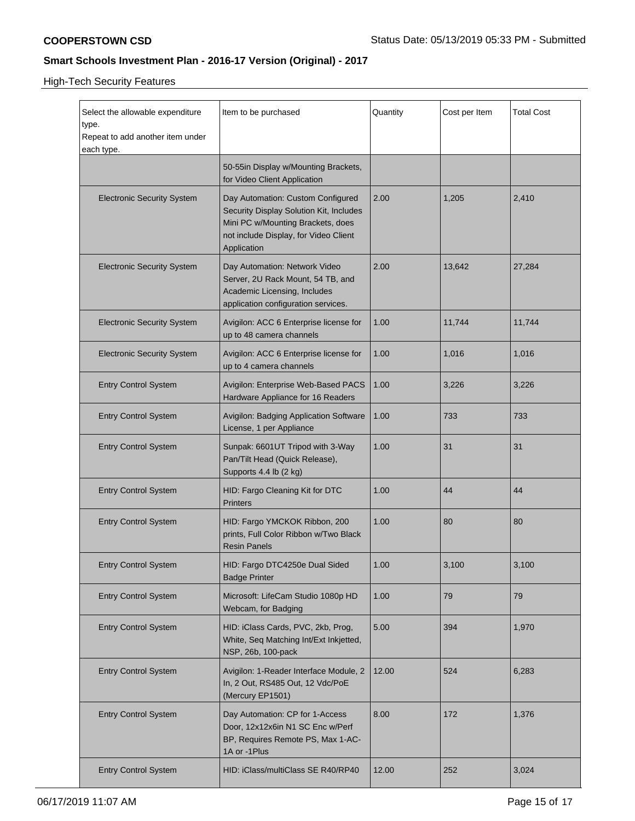High-Tech Security Features

| Select the allowable expenditure<br>type.<br>Repeat to add another item under<br>each type. | Item to be purchased                                                                                                                                                      | Quantity | Cost per Item | <b>Total Cost</b> |
|---------------------------------------------------------------------------------------------|---------------------------------------------------------------------------------------------------------------------------------------------------------------------------|----------|---------------|-------------------|
|                                                                                             | 50-55in Display w/Mounting Brackets,<br>for Video Client Application                                                                                                      |          |               |                   |
| <b>Electronic Security System</b>                                                           | Day Automation: Custom Configured<br>Security Display Solution Kit, Includes<br>Mini PC w/Mounting Brackets, does<br>not include Display, for Video Client<br>Application | 2.00     | 1,205         | 2,410             |
| <b>Electronic Security System</b>                                                           | Day Automation: Network Video<br>Server, 2U Rack Mount, 54 TB, and<br>Academic Licensing, Includes<br>application configuration services.                                 | 2.00     | 13,642        | 27,284            |
| <b>Electronic Security System</b>                                                           | Avigilon: ACC 6 Enterprise license for<br>up to 48 camera channels                                                                                                        | 1.00     | 11,744        | 11,744            |
| <b>Electronic Security System</b>                                                           | Avigilon: ACC 6 Enterprise license for<br>up to 4 camera channels                                                                                                         | 1.00     | 1,016         | 1,016             |
| <b>Entry Control System</b>                                                                 | Avigilon: Enterprise Web-Based PACS<br>Hardware Appliance for 16 Readers                                                                                                  | 1.00     | 3,226         | 3,226             |
| <b>Entry Control System</b>                                                                 | Avigilon: Badging Application Software<br>License, 1 per Appliance                                                                                                        | 1.00     | 733           | 733               |
| <b>Entry Control System</b>                                                                 | Sunpak: 6601UT Tripod with 3-Way<br>Pan/Tilt Head (Quick Release),<br>Supports 4.4 lb (2 kg)                                                                              | 1.00     | 31            | 31                |
| <b>Entry Control System</b>                                                                 | HID: Fargo Cleaning Kit for DTC<br><b>Printers</b>                                                                                                                        | 1.00     | 44            | 44                |
| <b>Entry Control System</b>                                                                 | HID: Fargo YMCKOK Ribbon, 200<br>prints, Full Color Ribbon w/Two Black<br><b>Resin Panels</b>                                                                             | 1.00     | 80            | 80                |
| <b>Entry Control System</b>                                                                 | HID: Fargo DTC4250e Dual Sided<br><b>Badge Printer</b>                                                                                                                    | 1.00     | 3,100         | 3,100             |
| <b>Entry Control System</b>                                                                 | Microsoft: LifeCam Studio 1080p HD<br>Webcam, for Badging                                                                                                                 | 1.00     | 79            | 79                |
| <b>Entry Control System</b>                                                                 | HID: iClass Cards, PVC, 2kb, Prog,<br>White, Seq Matching Int/Ext Inkjetted,<br>NSP, 26b, 100-pack                                                                        | 5.00     | 394           | 1,970             |
| <b>Entry Control System</b>                                                                 | Avigilon: 1-Reader Interface Module, 2<br>In, 2 Out, RS485 Out, 12 Vdc/PoE<br>(Mercury EP1501)                                                                            | 12.00    | 524           | 6,283             |
| <b>Entry Control System</b>                                                                 | Day Automation: CP for 1-Access<br>Door, 12x12x6in N1 SC Enc w/Perf<br>BP, Requires Remote PS, Max 1-AC-<br>1A or -1Plus                                                  | 8.00     | 172           | 1,376             |
| <b>Entry Control System</b>                                                                 | HID: iClass/multiClass SE R40/RP40                                                                                                                                        | 12.00    | 252           | 3,024             |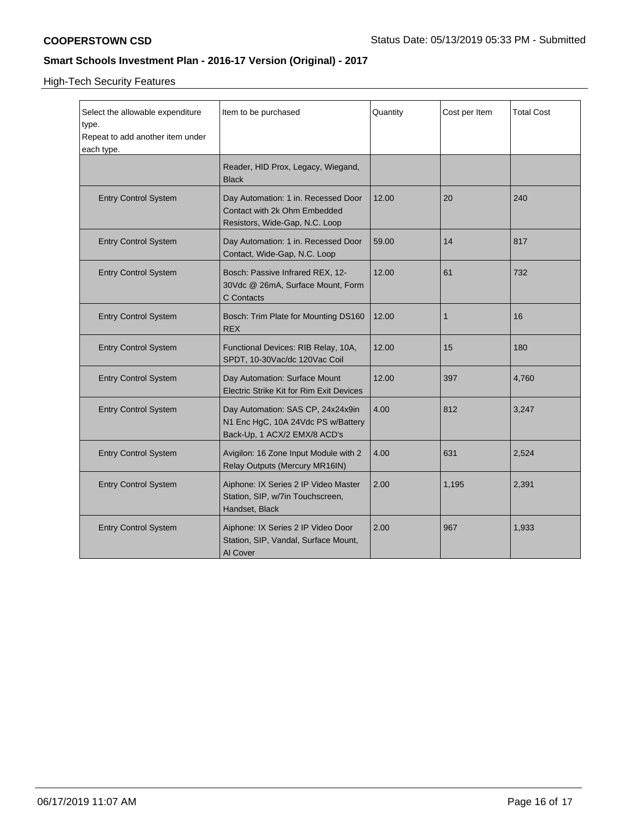High-Tech Security Features

| Select the allowable expenditure<br>type.<br>Repeat to add another item under<br>each type. | Item to be purchased                                                                                    | Quantity | Cost per Item | <b>Total Cost</b> |
|---------------------------------------------------------------------------------------------|---------------------------------------------------------------------------------------------------------|----------|---------------|-------------------|
|                                                                                             | Reader, HID Prox, Legacy, Wiegand,<br><b>Black</b>                                                      |          |               |                   |
| <b>Entry Control System</b>                                                                 | Day Automation: 1 in. Recessed Door<br>Contact with 2k Ohm Embedded<br>Resistors, Wide-Gap, N.C. Loop   | 12.00    | 20            | 240               |
| <b>Entry Control System</b>                                                                 | Day Automation: 1 in. Recessed Door<br>Contact, Wide-Gap, N.C. Loop                                     | 59.00    | 14            | 817               |
| <b>Entry Control System</b>                                                                 | Bosch: Passive Infrared REX, 12-<br>30Vdc @ 26mA, Surface Mount, Form<br>C Contacts                     | 12.00    | 61            | 732               |
| <b>Entry Control System</b>                                                                 | Bosch: Trim Plate for Mounting DS160<br><b>REX</b>                                                      | 12.00    | 1             | 16                |
| <b>Entry Control System</b>                                                                 | Functional Devices: RIB Relay, 10A,<br>SPDT, 10-30Vac/dc 120Vac Coil                                    | 12.00    | 15            | 180               |
| <b>Entry Control System</b>                                                                 | Day Automation: Surface Mount<br><b>Electric Strike Kit for Rim Exit Devices</b>                        | 12.00    | 397           | 4,760             |
| <b>Entry Control System</b>                                                                 | Day Automation: SAS CP, 24x24x9in<br>N1 Enc HgC, 10A 24Vdc PS w/Battery<br>Back-Up, 1 ACX/2 EMX/8 ACD's | 4.00     | 812           | 3,247             |
| <b>Entry Control System</b>                                                                 | Avigilon: 16 Zone Input Module with 2<br>Relay Outputs (Mercury MR16IN)                                 | 4.00     | 631           | 2,524             |
| <b>Entry Control System</b>                                                                 | Aiphone: IX Series 2 IP Video Master<br>Station, SIP, w/7in Touchscreen,<br>Handset, Black              | 2.00     | 1,195         | 2,391             |
| <b>Entry Control System</b>                                                                 | Aiphone: IX Series 2 IP Video Door<br>Station, SIP, Vandal, Surface Mount,<br>Al Cover                  | 2.00     | 967           | 1,933             |